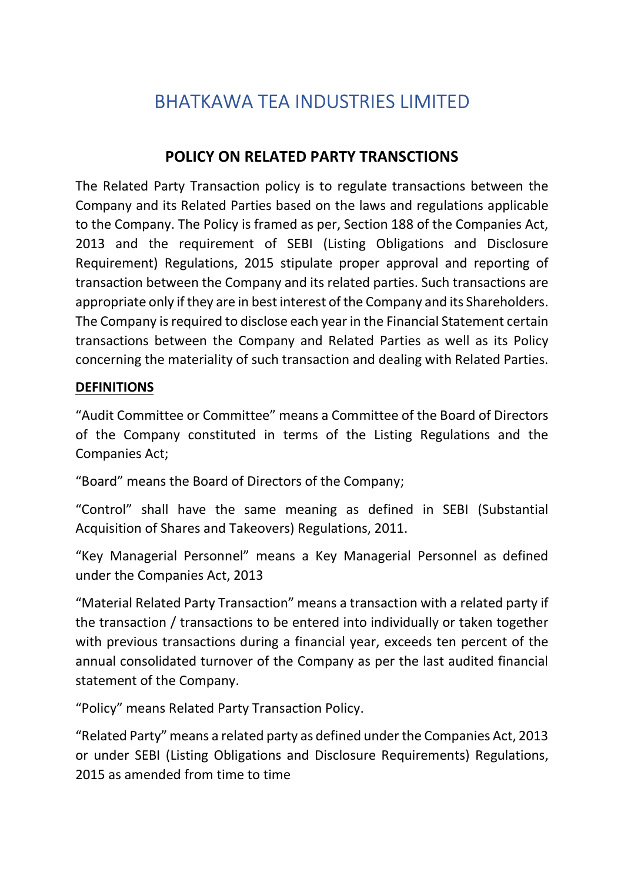# BHATKAWA TEA INDUSTRIES LIMITED

# POLICY ON RELATED PARTY TRANSCTIONS

The Related Party Transaction policy is to regulate transactions between the Company and its Related Parties based on the laws and regulations applicable to the Company. The Policy is framed as per, Section 188 of the Companies Act, 2013 and the requirement of SEBI (Listing Obligations and Disclosure Requirement) Regulations, 2015 stipulate proper approval and reporting of transaction between the Company and its related parties. Such transactions are appropriate only if they are in best interest of the Company and its Shareholders. The Company is required to disclose each year in the Financial Statement certain transactions between the Company and Related Parties as well as its Policy concerning the materiality of such transaction and dealing with Related Parties.

#### DEFINITIONS

"Audit Committee or Committee" means a Committee of the Board of Directors of the Company constituted in terms of the Listing Regulations and the Companies Act;

"Board" means the Board of Directors of the Company;

"Control" shall have the same meaning as defined in SEBI (Substantial Acquisition of Shares and Takeovers) Regulations, 2011.

"Key Managerial Personnel" means a Key Managerial Personnel as defined under the Companies Act, 2013

"Material Related Party Transaction" means a transaction with a related party if the transaction / transactions to be entered into individually or taken together with previous transactions during a financial year, exceeds ten percent of the annual consolidated turnover of the Company as per the last audited financial statement of the Company.

"Policy" means Related Party Transaction Policy.

"Related Party" means a related party as defined under the Companies Act, 2013 or under SEBI (Listing Obligations and Disclosure Requirements) Regulations, 2015 as amended from time to time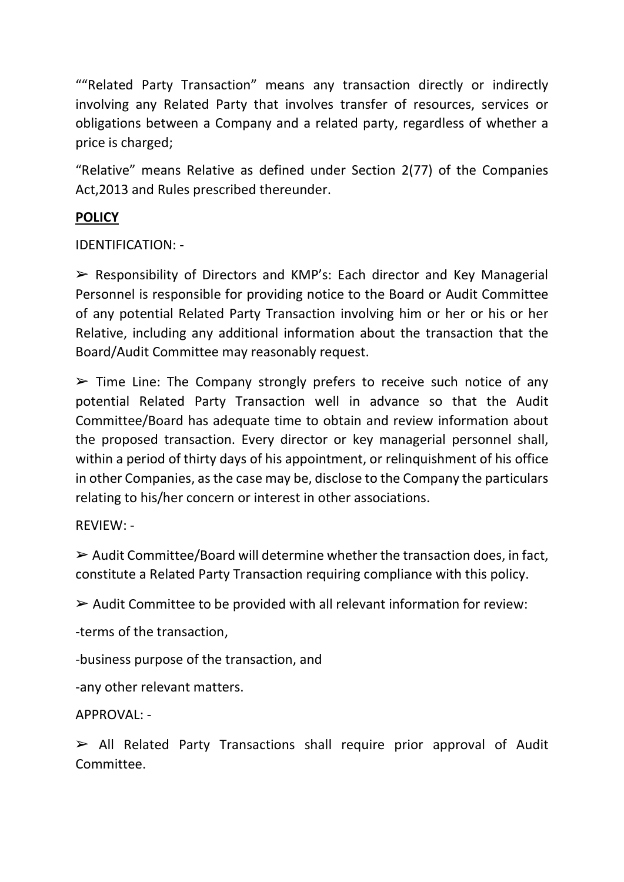""Related Party Transaction" means any transaction directly or indirectly involving any Related Party that involves transfer of resources, services or obligations between a Company and a related party, regardless of whether a price is charged;

"Relative" means Relative as defined under Section 2(77) of the Companies Act,2013 and Rules prescribed thereunder.

## **POLICY**

IDENTIFICATION: -

➢ Responsibility of Directors and KMP's: Each director and Key Managerial Personnel is responsible for providing notice to the Board or Audit Committee of any potential Related Party Transaction involving him or her or his or her Relative, including any additional information about the transaction that the Board/Audit Committee may reasonably request.

 $\triangleright$  Time Line: The Company strongly prefers to receive such notice of any potential Related Party Transaction well in advance so that the Audit Committee/Board has adequate time to obtain and review information about the proposed transaction. Every director or key managerial personnel shall, within a period of thirty days of his appointment, or relinquishment of his office in other Companies, as the case may be, disclose to the Company the particulars relating to his/her concern or interest in other associations.

#### REVIEW: -

 $\triangleright$  Audit Committee/Board will determine whether the transaction does, in fact, constitute a Related Party Transaction requiring compliance with this policy.

 $\triangleright$  Audit Committee to be provided with all relevant information for review:

-terms of the transaction,

-business purpose of the transaction, and

-any other relevant matters.

APPROVAL: -

 $\triangleright$  All Related Party Transactions shall require prior approval of Audit Committee.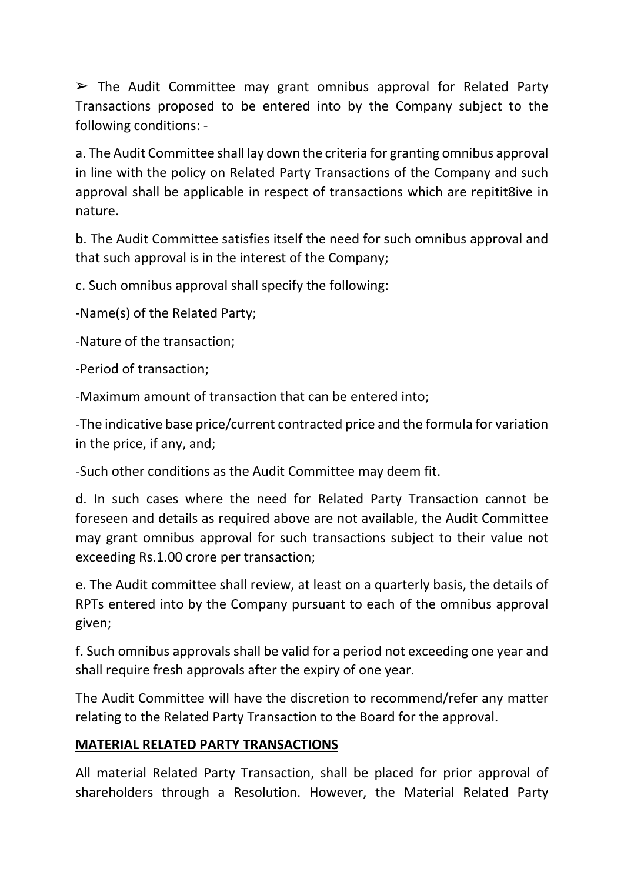$\triangleright$  The Audit Committee may grant omnibus approval for Related Party Transactions proposed to be entered into by the Company subject to the following conditions: -

a. The Audit Committee shall lay down the criteria for granting omnibus approval in line with the policy on Related Party Transactions of the Company and such approval shall be applicable in respect of transactions which are repitit8ive in nature.

b. The Audit Committee satisfies itself the need for such omnibus approval and that such approval is in the interest of the Company;

c. Such omnibus approval shall specify the following:

-Name(s) of the Related Party;

-Nature of the transaction;

-Period of transaction;

-Maximum amount of transaction that can be entered into;

-The indicative base price/current contracted price and the formula for variation in the price, if any, and;

-Such other conditions as the Audit Committee may deem fit.

d. In such cases where the need for Related Party Transaction cannot be foreseen and details as required above are not available, the Audit Committee may grant omnibus approval for such transactions subject to their value not exceeding Rs.1.00 crore per transaction;

e. The Audit committee shall review, at least on a quarterly basis, the details of RPTs entered into by the Company pursuant to each of the omnibus approval given;

f. Such omnibus approvals shall be valid for a period not exceeding one year and shall require fresh approvals after the expiry of one year.

The Audit Committee will have the discretion to recommend/refer any matter relating to the Related Party Transaction to the Board for the approval.

#### MATERIAL RELATED PARTY TRANSACTIONS

All material Related Party Transaction, shall be placed for prior approval of shareholders through a Resolution. However, the Material Related Party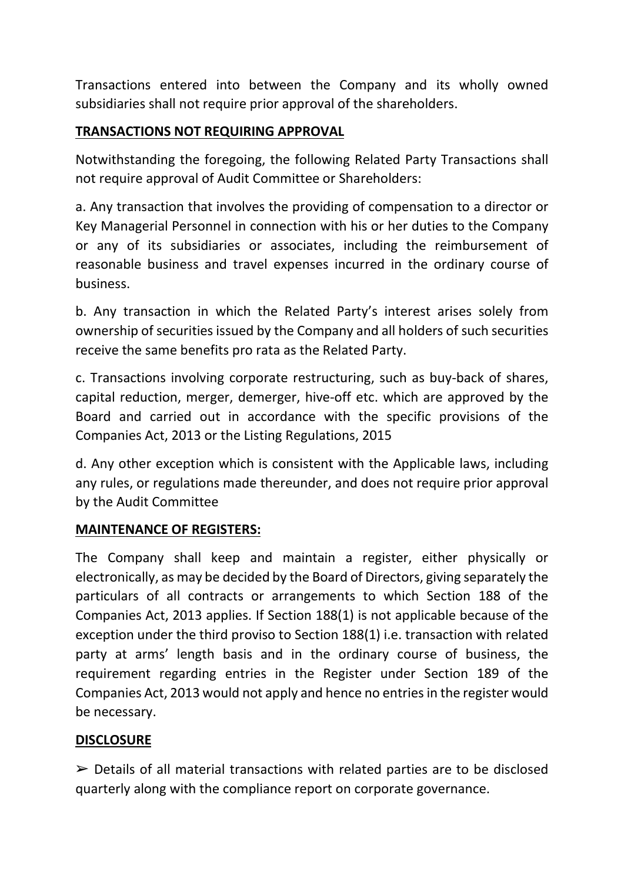Transactions entered into between the Company and its wholly owned subsidiaries shall not require prior approval of the shareholders.

## TRANSACTIONS NOT REQUIRING APPROVAL

Notwithstanding the foregoing, the following Related Party Transactions shall not require approval of Audit Committee or Shareholders:

a. Any transaction that involves the providing of compensation to a director or Key Managerial Personnel in connection with his or her duties to the Company or any of its subsidiaries or associates, including the reimbursement of reasonable business and travel expenses incurred in the ordinary course of business.

b. Any transaction in which the Related Party's interest arises solely from ownership of securities issued by the Company and all holders of such securities receive the same benefits pro rata as the Related Party.

c. Transactions involving corporate restructuring, such as buy-back of shares, capital reduction, merger, demerger, hive-off etc. which are approved by the Board and carried out in accordance with the specific provisions of the Companies Act, 2013 or the Listing Regulations, 2015

d. Any other exception which is consistent with the Applicable laws, including any rules, or regulations made thereunder, and does not require prior approval by the Audit Committee

## MAINTENANCE OF REGISTERS:

The Company shall keep and maintain a register, either physically or electronically, as may be decided by the Board of Directors, giving separately the particulars of all contracts or arrangements to which Section 188 of the Companies Act, 2013 applies. If Section 188(1) is not applicable because of the exception under the third proviso to Section 188(1) i.e. transaction with related party at arms' length basis and in the ordinary course of business, the requirement regarding entries in the Register under Section 189 of the Companies Act, 2013 would not apply and hence no entries in the register would be necessary.

## **DISCLOSURE**

 $\triangleright$  Details of all material transactions with related parties are to be disclosed quarterly along with the compliance report on corporate governance.